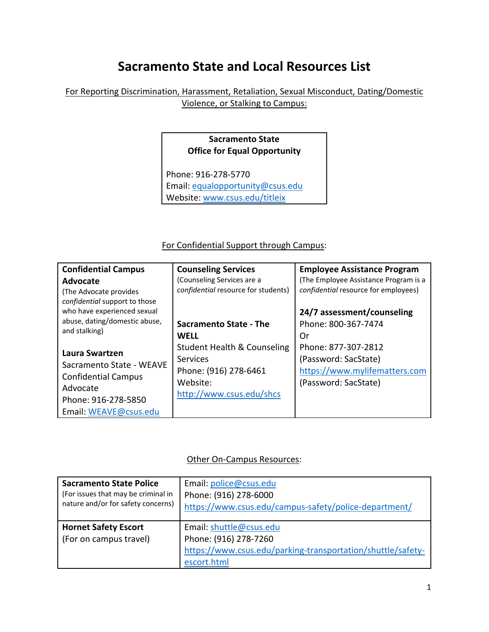# **Sacramento State and Local Resources List**

### For Reporting Discrimination, Harassment, Retaliation, Sexual Misconduct, Dating/Domestic Violence, or Stalking to Campus:

## **Sacramento State Office for Equal Opportunity**

Phone: 916-278-5770 Email[: equalopportunity@csus.edu](mailto:equalopportunity@csus.edu) Website: [www.csus.edu/titleix](http://www.csus.edu/titleix)

#### For Confidential Support through Campus:

| <b>Confidential Campus</b>                     | <b>Counseling Services</b>             | <b>Employee Assistance Program</b>    |
|------------------------------------------------|----------------------------------------|---------------------------------------|
| <b>Advocate</b>                                | (Counseling Services are a             | (The Employee Assistance Program is a |
| (The Advocate provides                         | confidential resource for students)    | confidential resource for employees)  |
| confidential support to those                  |                                        |                                       |
| who have experienced sexual                    |                                        | 24/7 assessment/counseling            |
| abuse, dating/domestic abuse,<br>and stalking) | Sacramento State - The                 | Phone: 800-367-7474                   |
|                                                | <b>WELL</b>                            | Or                                    |
|                                                | <b>Student Health &amp; Counseling</b> | Phone: 877-307-2812                   |
| Laura Swartzen                                 | <b>Services</b>                        | (Password: SacState)                  |
| Sacramento State - WEAVE                       | Phone: (916) 278-6461                  | https://www.mylifematters.com         |
| <b>Confidential Campus</b>                     | Website:                               | (Password: SacState)                  |
| Advocate                                       | http://www.csus.edu/shcs               |                                       |
| Phone: 916-278-5850                            |                                        |                                       |
| Email: WEAVE@csus.edu                          |                                        |                                       |

#### Other On-Campus Resources:

| <b>Sacramento State Police</b><br>(For issues that may be criminal in<br>nature and/or for safety concerns) | Email: police@csus.edu<br>Phone: (916) 278-6000<br>https://www.csus.edu/campus-safety/police-department/ |
|-------------------------------------------------------------------------------------------------------------|----------------------------------------------------------------------------------------------------------|
| <b>Hornet Safety Escort</b>                                                                                 | Email: shuttle@csus.edu                                                                                  |
| (For on campus travel)                                                                                      | Phone: (916) 278-7260                                                                                    |
|                                                                                                             | https://www.csus.edu/parking-transportation/shuttle/safety-                                              |
|                                                                                                             | escort.html                                                                                              |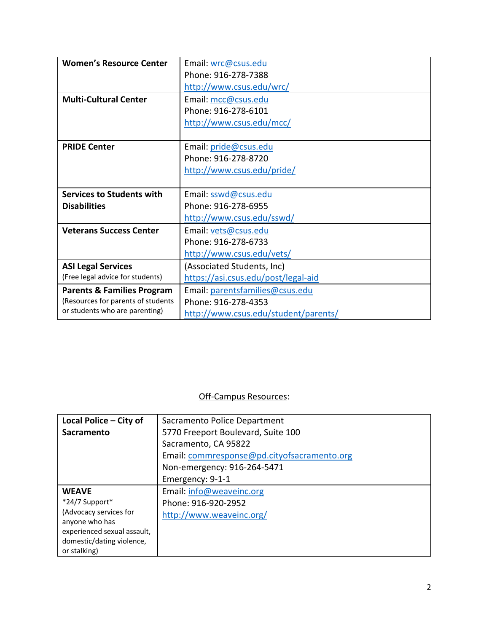| <b>Women's Resource Center</b>                                       | Email: wrc@csus.edu                 |
|----------------------------------------------------------------------|-------------------------------------|
|                                                                      | Phone: 916-278-7388                 |
|                                                                      | http://www.csus.edu/wrc/            |
| <b>Multi-Cultural Center</b>                                         | Email: mcc@csus.edu                 |
|                                                                      | Phone: 916-278-6101                 |
|                                                                      | http://www.csus.edu/mcc/            |
|                                                                      |                                     |
| <b>PRIDE Center</b>                                                  | Email: pride@csus.edu               |
|                                                                      | Phone: 916-278-8720                 |
|                                                                      | http://www.csus.edu/pride/          |
|                                                                      |                                     |
|                                                                      |                                     |
| <b>Services to Students with</b>                                     | Email: sswd@csus.edu                |
| <b>Disabilities</b>                                                  | Phone: 916-278-6955                 |
|                                                                      | http://www.csus.edu/sswd/           |
| <b>Veterans Success Center</b>                                       | Email: vets@csus.edu                |
|                                                                      | Phone: 916-278-6733                 |
|                                                                      | http://www.csus.edu/vets/           |
| <b>ASI Legal Services</b>                                            | (Associated Students, Inc)          |
| (Free legal advice for students)                                     | https://asi.csus.edu/post/legal-aid |
| <b>Parents &amp; Families Program</b>                                | Email: parentsfamilies@csus.edu     |
| (Resources for parents of students<br>or students who are parenting) | Phone: 916-278-4353                 |

## Off-Campus Resources:

| Local Police - City of      | Sacramento Police Department                |
|-----------------------------|---------------------------------------------|
| <b>Sacramento</b>           | 5770 Freeport Boulevard, Suite 100          |
|                             | Sacramento, CA 95822                        |
|                             | Email: commresponse@pd.cityofsacramento.org |
|                             | Non-emergency: 916-264-5471                 |
|                             | Emergency: 9-1-1                            |
| <b>WEAVE</b>                | Email: info@weaveinc.org                    |
| *24/7 Support*              | Phone: 916-920-2952                         |
| (Advocacy services for      | http://www.weaveinc.org/                    |
| anyone who has              |                                             |
| experienced sexual assault, |                                             |
| domestic/dating violence,   |                                             |
| or stalking)                |                                             |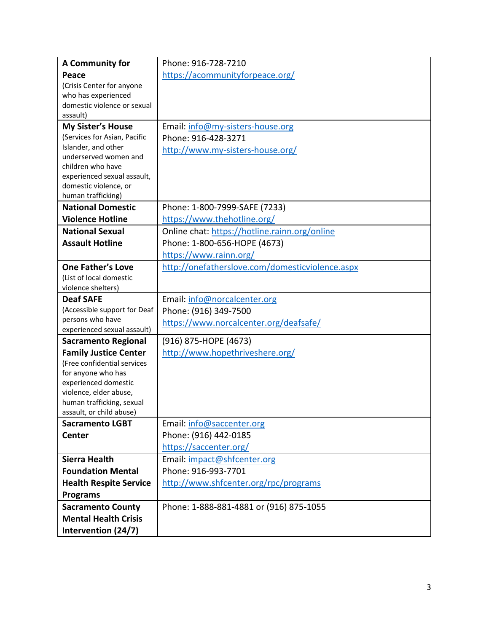| A Community for                                          | Phone: 916-728-7210                                     |
|----------------------------------------------------------|---------------------------------------------------------|
| Peace                                                    | https://acommunityforpeace.org/                         |
| (Crisis Center for anyone                                |                                                         |
| who has experienced                                      |                                                         |
| domestic violence or sexual                              |                                                         |
| assault)                                                 |                                                         |
| <b>My Sister's House</b><br>(Services for Asian, Pacific | Email: info@my-sisters-house.org<br>Phone: 916-428-3271 |
| Islander, and other                                      |                                                         |
| underserved women and                                    | http://www.my-sisters-house.org/                        |
| children who have                                        |                                                         |
| experienced sexual assault,                              |                                                         |
| domestic violence, or                                    |                                                         |
| human trafficking)<br><b>National Domestic</b>           | Phone: 1-800-7999-SAFE (7233)                           |
| <b>Violence Hotline</b>                                  | https://www.thehotline.org/                             |
| <b>National Sexual</b>                                   | Online chat: https://hotline.rainn.org/online           |
| <b>Assault Hotline</b>                                   | Phone: 1-800-656-HOPE (4673)                            |
|                                                          | https://www.rainn.org/                                  |
| <b>One Father's Love</b>                                 | http://onefatherslove.com/domesticviolence.aspx         |
| (List of local domestic                                  |                                                         |
| violence shelters)                                       |                                                         |
| <b>Deaf SAFE</b>                                         | Email: info@norcalcenter.org                            |
| (Accessible support for Deaf                             | Phone: (916) 349-7500                                   |
| persons who have                                         | https://www.norcalcenter.org/deafsafe/                  |
| experienced sexual assault)                              |                                                         |
| <b>Sacramento Regional</b>                               | (916) 875-HOPE (4673)                                   |
| <b>Family Justice Center</b>                             | http://www.hopethriveshere.org/                         |
| (Free confidential services<br>for anyone who has        |                                                         |
| experienced domestic                                     |                                                         |
| violence, elder abuse,                                   |                                                         |
| human trafficking, sexual                                |                                                         |
| assault, or child abuse)                                 |                                                         |
| <b>Sacramento LGBT</b>                                   | Email: info@saccenter.org                               |
| Center                                                   | Phone: (916) 442-0185                                   |
|                                                          | https://saccenter.org/                                  |
| <b>Sierra Health</b>                                     | Email: impact@shfcenter.org                             |
| <b>Foundation Mental</b>                                 | Phone: 916-993-7701                                     |
| <b>Health Respite Service</b>                            | http://www.shfcenter.org/rpc/programs                   |
| <b>Programs</b>                                          |                                                         |
| <b>Sacramento County</b>                                 | Phone: 1-888-881-4881 or (916) 875-1055                 |
| <b>Mental Health Crisis</b>                              |                                                         |
| Intervention (24/7)                                      |                                                         |